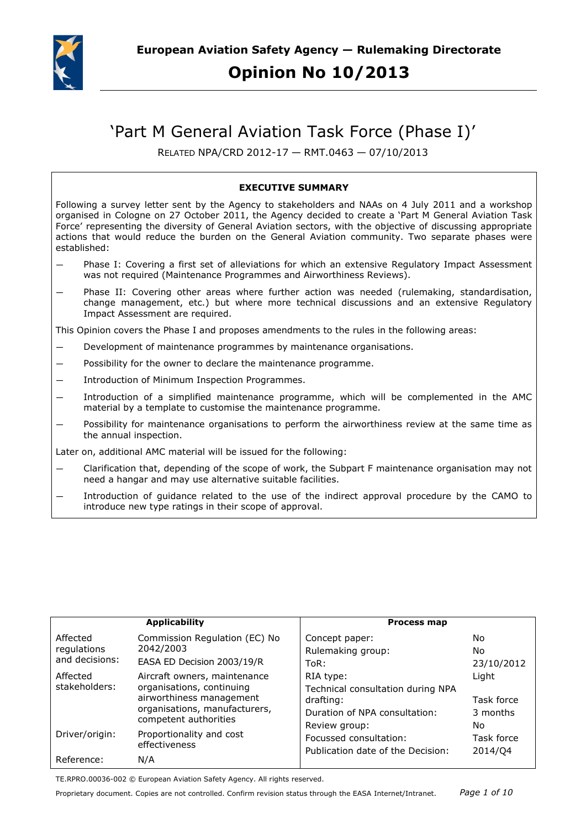

# 'Part M General Aviation Task Force (Phase I)'

RELATED NPA/CRD 2012-17 — RMT.0463 — 07/10/2013

#### **EXECUTIVE SUMMARY**

Following a survey letter sent by the Agency to stakeholders and NAAs on 4 July 2011 and a workshop organised in Cologne on 27 October 2011, the Agency decided to create a 'Part M General Aviation Task Force' representing the diversity of General Aviation sectors, with the objective of discussing appropriate actions that would reduce the burden on the General Aviation community. Two separate phases were established:

- Phase I: Covering a first set of alleviations for which an extensive Regulatory Impact Assessment was not required (Maintenance Programmes and Airworthiness Reviews).
- Phase II: Covering other areas where further action was needed (rulemaking, standardisation, change management, etc.) but where more technical discussions and an extensive Regulatory Impact Assessment are required.

This Opinion covers the Phase I and proposes amendments to the rules in the following areas:

- Development of maintenance programmes by maintenance organisations.
- Possibility for the owner to declare the maintenance programme.
- Introduction of Minimum Inspection Programmes.
- Introduction of a simplified maintenance programme, which will be complemented in the AMC material by a template to customise the maintenance programme.
- Possibility for maintenance organisations to perform the airworthiness review at the same time as the annual inspection.

Later on, additional AMC material will be issued for the following:

- Clarification that, depending of the scope of work, the Subpart F maintenance organisation may not need a hangar and may use alternative suitable facilities.
- Introduction of guidance related to the use of the indirect approval procedure by the CAMO to introduce new type ratings in their scope of approval.

|                                           | <b>Applicability</b>                                                                                                                            | <b>Process map</b>                                                                                            |                                       |
|-------------------------------------------|-------------------------------------------------------------------------------------------------------------------------------------------------|---------------------------------------------------------------------------------------------------------------|---------------------------------------|
| Affected<br>regulations<br>and decisions: | Commission Regulation (EC) No<br>2042/2003<br>EASA ED Decision 2003/19/R                                                                        | Concept paper:<br>Rulemaking group:<br>ToR:                                                                   | No<br>No.<br>23/10/2012               |
| Affected<br>stakeholders:                 | Aircraft owners, maintenance<br>organisations, continuing<br>airworthiness management<br>organisations, manufacturers,<br>competent authorities | RIA type:<br>Technical consultation during NPA<br>drafting:<br>Duration of NPA consultation:<br>Review group: | Light<br>Task force<br>3 months<br>No |
| Driver/origin:<br>Reference:              | Proportionality and cost<br>effectiveness<br>N/A                                                                                                | Focussed consultation:<br>Publication date of the Decision:                                                   | Task force<br>2014/Q4                 |

TE.RPRO.00036-002 © European Aviation Safety Agency. All rights reserved.

Proprietary document. Copies are not controlled. Confirm revision status through the EASA Internet/Intranet. *Page 1 of 10*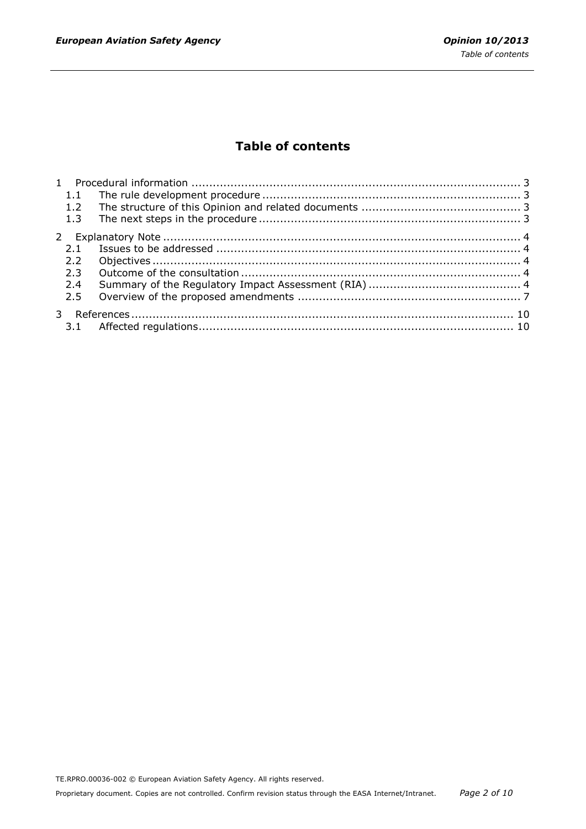# **Table of contents**

| 1.1 |  |
|-----|--|
| 1.2 |  |
| 1.3 |  |
|     |  |
| 2.1 |  |
| 2.2 |  |
| 2.3 |  |
| 2.4 |  |
| 2.5 |  |
|     |  |
|     |  |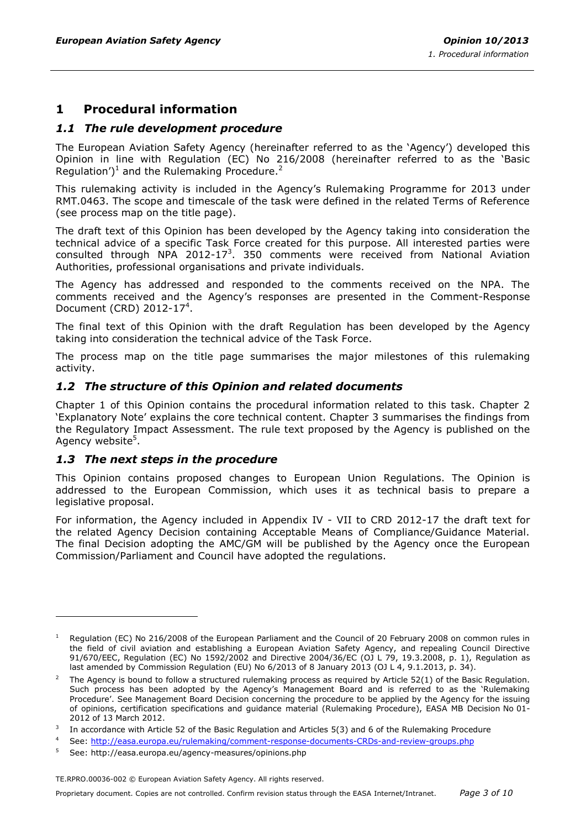# <span id="page-2-0"></span>**1 Procedural information**

## <span id="page-2-1"></span>*1.1 The rule development procedure*

The European Aviation Safety Agency (hereinafter referred to as the 'Agency') developed this Opinion in line with Regulation (EC) No 216/2008 (hereinafter referred to as the 'Basic Regulation') $<sup>1</sup>$  and the Rulemaking Procedure.<sup>2</sup></sup>

This rulemaking activity is included in the Agency's Rulemaking Programme for 2013 under RMT.0463. The scope and timescale of the task were defined in the related Terms of Reference (see process map on the title page).

The draft text of this Opinion has been developed by the Agency taking into consideration the technical advice of a specific Task Force created for this purpose. All interested parties were consulted through NPA 2012-17<sup>3</sup>. 350 comments were received from National Aviation Authorities, professional organisations and private individuals.

The Agency has addressed and responded to the comments received on the NPA. The comments received and the Agency's responses are presented in the Comment-Response Document (CRD) 2012-17<sup>4</sup> .

The final text of this Opinion with the draft Regulation has been developed by the Agency taking into consideration the technical advice of the Task Force.

The process map on the title page summarises the major milestones of this rulemaking activity.

## <span id="page-2-2"></span>*1.2 The structure of this Opinion and related documents*

Chapter 1 of this Opinion contains the procedural information related to this task. Chapter 2 'Explanatory Note' explains the core technical content. Chapter 3 summarises the findings from the Regulatory Impact Assessment. The rule text proposed by the Agency is published on the Agency website<sup>5</sup>.

## <span id="page-2-3"></span>*1.3 The next steps in the procedure*

-

This Opinion contains proposed changes to European Union Regulations. The Opinion is addressed to the European Commission, which uses it as technical basis to prepare a legislative proposal.

For information, the Agency included in Appendix IV - VII to CRD 2012-17 the draft text for the related Agency Decision containing Acceptable Means of Compliance/Guidance Material. The final Decision adopting the AMC/GM will be published by the Agency once the European Commission/Parliament and Council have adopted the regulations.

Regulation (EC) No 216/2008 of the European Parliament and the Council of 20 February 2008 on common rules in the field of civil aviation and establishing a European Aviation Safety Agency, and repealing Council Directive 91/670/EEC, Regulation (EC) No 1592/2002 and Directive 2004/36/EC (OJ L 79, 19.3.2008, p. 1), Regulation as last amended by Commission Regulation (EU) No 6/2013 of 8 January 2013 (OJ L 4, 9.1.2013, p. 34).

<sup>2</sup> The Agency is bound to follow a structured rulemaking process as required by Article 52(1) of the Basic Regulation. Such process has been adopted by the Agency's Management Board and is referred to as the 'Rulemaking Procedure'. See Management Board Decision concerning the procedure to be applied by the Agency for the issuing of opinions, certification specifications and guidance material (Rulemaking Procedure), EASA MB Decision No 01- 2012 of 13 March 2012.

 $3$  In accordance with Article 52 of the Basic Regulation and Articles 5(3) and 6 of the Rulemaking Procedure

<sup>4</sup> See:<http://easa.europa.eu/rulemaking/comment-response-documents-CRDs-and-review-groups.php>

<sup>5</sup> See: http://easa.europa.eu/agency-measures/opinions.php

TE.RPRO.00036-002 © European Aviation Safety Agency. All rights reserved.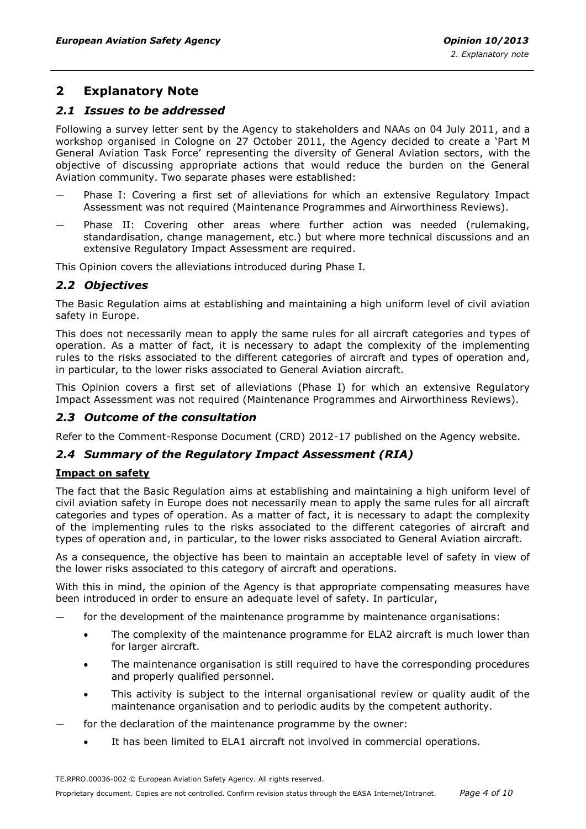# <span id="page-3-0"></span>**2 Explanatory Note**

# <span id="page-3-1"></span>*2.1 Issues to be addressed*

Following a survey letter sent by the Agency to stakeholders and NAAs on 04 July 2011, and a workshop organised in Cologne on 27 October 2011, the Agency decided to create a 'Part M General Aviation Task Force' representing the diversity of General Aviation sectors, with the objective of discussing appropriate actions that would reduce the burden on the General Aviation community. Two separate phases were established:

- Phase I: Covering a first set of alleviations for which an extensive Regulatory Impact Assessment was not required (Maintenance Programmes and Airworthiness Reviews).
- Phase II: Covering other areas where further action was needed (rulemaking, standardisation, change management, etc.) but where more technical discussions and an extensive Regulatory Impact Assessment are required.

This Opinion covers the alleviations introduced during Phase I.

# <span id="page-3-2"></span>*2.2 Objectives*

The Basic Regulation aims at establishing and maintaining a high uniform level of civil aviation safety in Europe.

This does not necessarily mean to apply the same rules for all aircraft categories and types of operation. As a matter of fact, it is necessary to adapt the complexity of the implementing rules to the risks associated to the different categories of aircraft and types of operation and, in particular, to the lower risks associated to General Aviation aircraft.

This Opinion covers a first set of alleviations (Phase I) for which an extensive Regulatory Impact Assessment was not required (Maintenance Programmes and Airworthiness Reviews).

## <span id="page-3-3"></span>*2.3 Outcome of the consultation*

Refer to the Comment-Response Document (CRD) 2012-17 published on the Agency website.

## <span id="page-3-4"></span>*2.4 Summary of the Regulatory Impact Assessment (RIA)*

## **Impact on safety**

The fact that the Basic Regulation aims at establishing and maintaining a high uniform level of civil aviation safety in Europe does not necessarily mean to apply the same rules for all aircraft categories and types of operation. As a matter of fact, it is necessary to adapt the complexity of the implementing rules to the risks associated to the different categories of aircraft and types of operation and, in particular, to the lower risks associated to General Aviation aircraft.

As a consequence, the objective has been to maintain an acceptable level of safety in view of the lower risks associated to this category of aircraft and operations.

With this in mind, the opinion of the Agency is that appropriate compensating measures have been introduced in order to ensure an adequate level of safety. In particular,

- for the development of the maintenance programme by maintenance organisations:
	- The complexity of the maintenance programme for ELA2 aircraft is much lower than for larger aircraft.
	- The maintenance organisation is still required to have the corresponding procedures and properly qualified personnel.
	- This activity is subject to the internal organisational review or quality audit of the maintenance organisation and to periodic audits by the competent authority.
- for the declaration of the maintenance programme by the owner:
	- It has been limited to ELA1 aircraft not involved in commercial operations.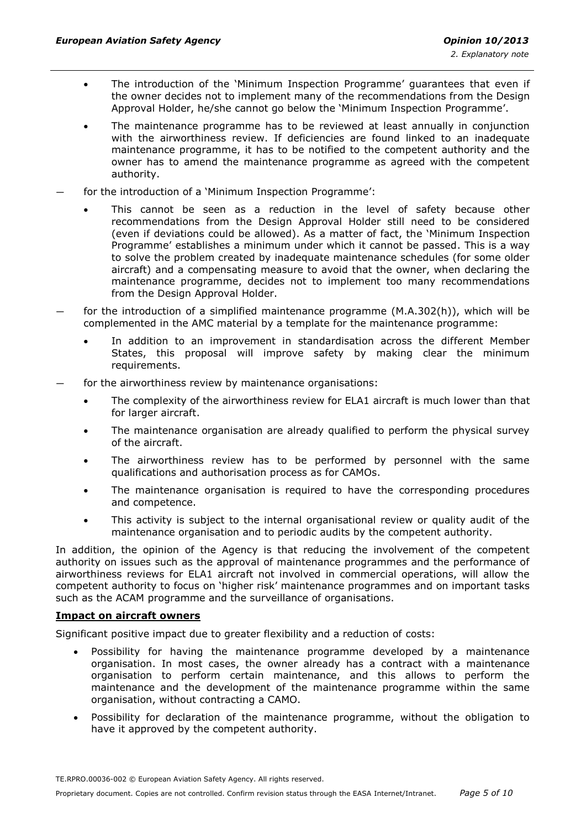- The introduction of the 'Minimum Inspection Programme' guarantees that even if the owner decides not to implement many of the recommendations from the Design Approval Holder, he/she cannot go below the 'Minimum Inspection Programme'.
- The maintenance programme has to be reviewed at least annually in conjunction with the airworthiness review. If deficiencies are found linked to an inadequate maintenance programme, it has to be notified to the competent authority and the owner has to amend the maintenance programme as agreed with the competent authority.
- for the introduction of a 'Minimum Inspection Programme':
	- This cannot be seen as a reduction in the level of safety because other recommendations from the Design Approval Holder still need to be considered (even if deviations could be allowed). As a matter of fact, the 'Minimum Inspection Programme' establishes a minimum under which it cannot be passed. This is a way to solve the problem created by inadequate maintenance schedules (for some older aircraft) and a compensating measure to avoid that the owner, when declaring the maintenance programme, decides not to implement too many recommendations from the Design Approval Holder.
- for the introduction of a simplified maintenance programme  $(M.A.302(h))$ , which will be complemented in the AMC material by a template for the maintenance programme:
	- In addition to an improvement in standardisation across the different Member States, this proposal will improve safety by making clear the minimum requirements.
- for the airworthiness review by maintenance organisations:
	- The complexity of the airworthiness review for ELA1 aircraft is much lower than that for larger aircraft.
	- The maintenance organisation are already qualified to perform the physical survey of the aircraft.
	- The airworthiness review has to be performed by personnel with the same qualifications and authorisation process as for CAMOs.
	- The maintenance organisation is required to have the corresponding procedures and competence.
	- This activity is subject to the internal organisational review or quality audit of the maintenance organisation and to periodic audits by the competent authority.

In addition, the opinion of the Agency is that reducing the involvement of the competent authority on issues such as the approval of maintenance programmes and the performance of airworthiness reviews for ELA1 aircraft not involved in commercial operations, will allow the competent authority to focus on 'higher risk' maintenance programmes and on important tasks such as the ACAM programme and the surveillance of organisations.

#### **Impact on aircraft owners**

Significant positive impact due to greater flexibility and a reduction of costs:

- Possibility for having the maintenance programme developed by a maintenance organisation. In most cases, the owner already has a contract with a maintenance organisation to perform certain maintenance, and this allows to perform the maintenance and the development of the maintenance programme within the same organisation, without contracting a CAMO.
- Possibility for declaration of the maintenance programme, without the obligation to have it approved by the competent authority.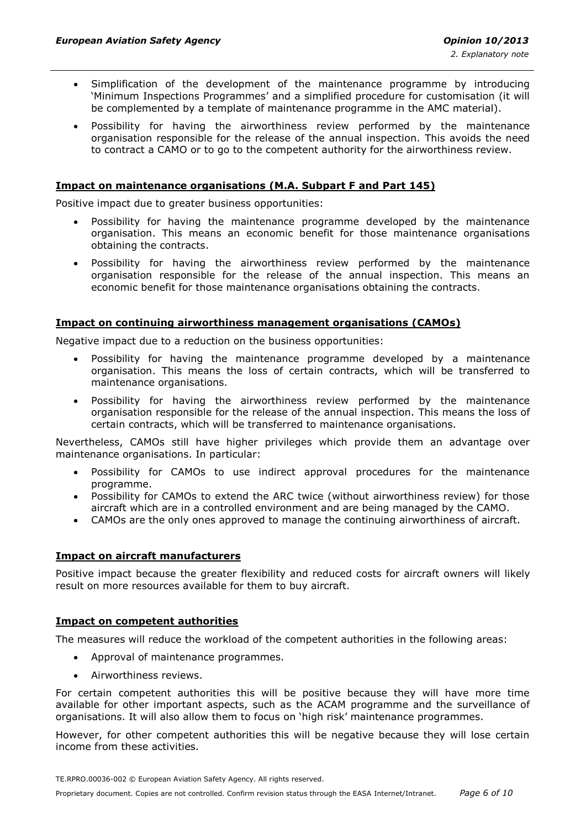- Simplification of the development of the maintenance programme by introducing 'Minimum Inspections Programmes' and a simplified procedure for customisation (it will be complemented by a template of maintenance programme in the AMC material).
- Possibility for having the airworthiness review performed by the maintenance organisation responsible for the release of the annual inspection. This avoids the need to contract a CAMO or to go to the competent authority for the airworthiness review.

#### **Impact on maintenance organisations (M.A. Subpart F and Part 145)**

Positive impact due to greater business opportunities:

- Possibility for having the maintenance programme developed by the maintenance organisation. This means an economic benefit for those maintenance organisations obtaining the contracts.
- Possibility for having the airworthiness review performed by the maintenance organisation responsible for the release of the annual inspection. This means an economic benefit for those maintenance organisations obtaining the contracts.

#### **Impact on continuing airworthiness management organisations (CAMOs)**

Negative impact due to a reduction on the business opportunities:

- Possibility for having the maintenance programme developed by a maintenance organisation. This means the loss of certain contracts, which will be transferred to maintenance organisations.
- Possibility for having the airworthiness review performed by the maintenance organisation responsible for the release of the annual inspection. This means the loss of certain contracts, which will be transferred to maintenance organisations.

Nevertheless, CAMOs still have higher privileges which provide them an advantage over maintenance organisations. In particular:

- Possibility for CAMOs to use indirect approval procedures for the maintenance programme.
- Possibility for CAMOs to extend the ARC twice (without airworthiness review) for those aircraft which are in a controlled environment and are being managed by the CAMO.
- CAMOs are the only ones approved to manage the continuing airworthiness of aircraft.

#### **Impact on aircraft manufacturers**

Positive impact because the greater flexibility and reduced costs for aircraft owners will likely result on more resources available for them to buy aircraft.

#### **Impact on competent authorities**

The measures will reduce the workload of the competent authorities in the following areas:

- Approval of maintenance programmes.
- Airworthiness reviews.

For certain competent authorities this will be positive because they will have more time available for other important aspects, such as the ACAM programme and the surveillance of organisations. It will also allow them to focus on 'high risk' maintenance programmes.

However, for other competent authorities this will be negative because they will lose certain income from these activities.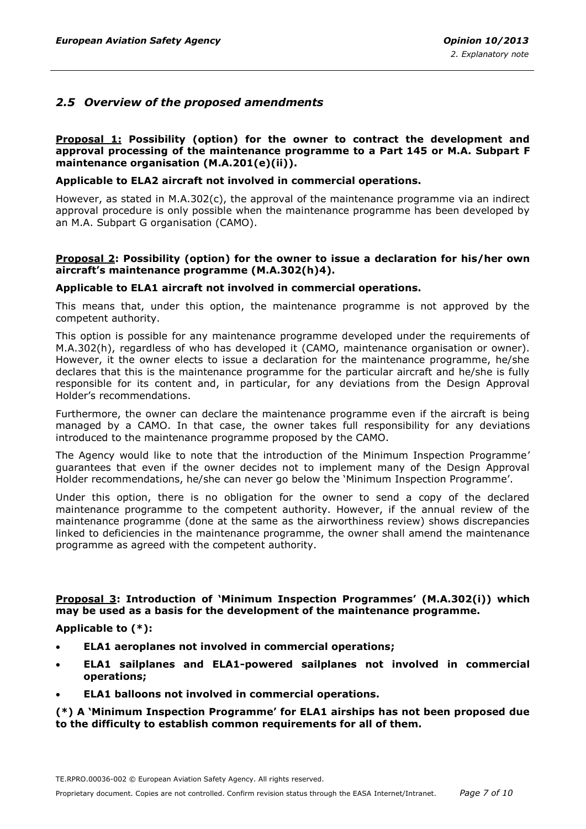# <span id="page-6-0"></span>*2.5 Overview of the proposed amendments*

#### **Proposal 1: Possibility (option) for the owner to contract the development and approval processing of the maintenance programme to a Part 145 or M.A. Subpart F maintenance organisation (M.A.201(e)(ii)).**

#### **Applicable to ELA2 aircraft not involved in commercial operations.**

However, as stated in M.A.302(c), the approval of the maintenance programme via an indirect approval procedure is only possible when the maintenance programme has been developed by an M.A. Subpart G organisation (CAMO).

#### **Proposal 2: Possibility (option) for the owner to issue a declaration for his/her own aircraft's maintenance programme (M.A.302(h)4).**

#### **Applicable to ELA1 aircraft not involved in commercial operations.**

This means that, under this option, the maintenance programme is not approved by the competent authority.

This option is possible for any maintenance programme developed under the requirements of M.A.302(h), regardless of who has developed it (CAMO, maintenance organisation or owner). However, it the owner elects to issue a declaration for the maintenance programme, he/she declares that this is the maintenance programme for the particular aircraft and he/she is fully responsible for its content and, in particular, for any deviations from the Design Approval Holder's recommendations.

Furthermore, the owner can declare the maintenance programme even if the aircraft is being managed by a CAMO. In that case, the owner takes full responsibility for any deviations introduced to the maintenance programme proposed by the CAMO.

The Agency would like to note that the introduction of the Minimum Inspection Programme' guarantees that even if the owner decides not to implement many of the Design Approval Holder recommendations, he/she can never go below the 'Minimum Inspection Programme'.

Under this option, there is no obligation for the owner to send a copy of the declared maintenance programme to the competent authority. However, if the annual review of the maintenance programme (done at the same as the airworthiness review) shows discrepancies linked to deficiencies in the maintenance programme, the owner shall amend the maintenance programme as agreed with the competent authority.

#### **Proposal 3: Introduction of 'Minimum Inspection Programmes' (M.A.302(i)) which may be used as a basis for the development of the maintenance programme.**

**Applicable to (\*):**

- **ELA1 aeroplanes not involved in commercial operations;**
- **ELA1 sailplanes and ELA1-powered sailplanes not involved in commercial operations;**
- **ELA1 balloons not involved in commercial operations.**

#### **(\*) A 'Minimum Inspection Programme' for ELA1 airships has not been proposed due to the difficulty to establish common requirements for all of them.**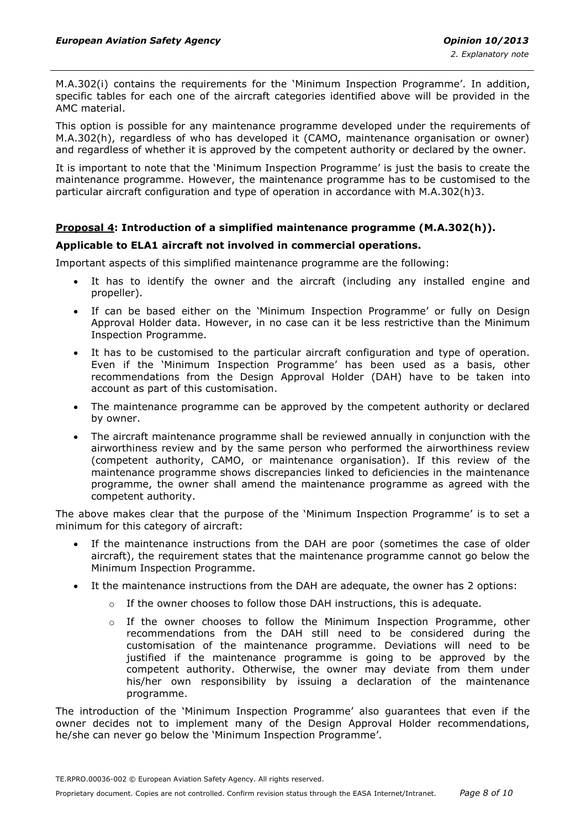M.A.302(i) contains the requirements for the 'Minimum Inspection Programme'. In addition, specific tables for each one of the aircraft categories identified above will be provided in the AMC material.

This option is possible for any maintenance programme developed under the requirements of M.A.302(h), regardless of who has developed it (CAMO, maintenance organisation or owner) and regardless of whether it is approved by the competent authority or declared by the owner.

It is important to note that the 'Minimum Inspection Programme' is just the basis to create the maintenance programme. However, the maintenance programme has to be customised to the particular aircraft configuration and type of operation in accordance with M.A.302(h)3.

#### **Proposal 4: Introduction of a simplified maintenance programme (M.A.302(h)).**

#### **Applicable to ELA1 aircraft not involved in commercial operations.**

Important aspects of this simplified maintenance programme are the following:

- It has to identify the owner and the aircraft (including any installed engine and propeller).
- If can be based either on the 'Minimum Inspection Programme' or fully on Design Approval Holder data. However, in no case can it be less restrictive than the Minimum Inspection Programme.
- It has to be customised to the particular aircraft configuration and type of operation. Even if the 'Minimum Inspection Programme' has been used as a basis, other recommendations from the Design Approval Holder (DAH) have to be taken into account as part of this customisation.
- The maintenance programme can be approved by the competent authority or declared by owner.
- The aircraft maintenance programme shall be reviewed annually in conjunction with the airworthiness review and by the same person who performed the airworthiness review (competent authority, CAMO, or maintenance organisation). If this review of the maintenance programme shows discrepancies linked to deficiencies in the maintenance programme, the owner shall amend the maintenance programme as agreed with the competent authority.

The above makes clear that the purpose of the 'Minimum Inspection Programme' is to set a minimum for this category of aircraft:

- If the maintenance instructions from the DAH are poor (sometimes the case of older aircraft), the requirement states that the maintenance programme cannot go below the Minimum Inspection Programme.
- It the maintenance instructions from the DAH are adequate, the owner has 2 options:
	- $\circ$  If the owner chooses to follow those DAH instructions, this is adequate.
	- o If the owner chooses to follow the Minimum Inspection Programme, other recommendations from the DAH still need to be considered during the customisation of the maintenance programme. Deviations will need to be justified if the maintenance programme is going to be approved by the competent authority. Otherwise, the owner may deviate from them under his/her own responsibility by issuing a declaration of the maintenance programme.

The introduction of the 'Minimum Inspection Programme' also guarantees that even if the owner decides not to implement many of the Design Approval Holder recommendations, he/she can never go below the 'Minimum Inspection Programme'.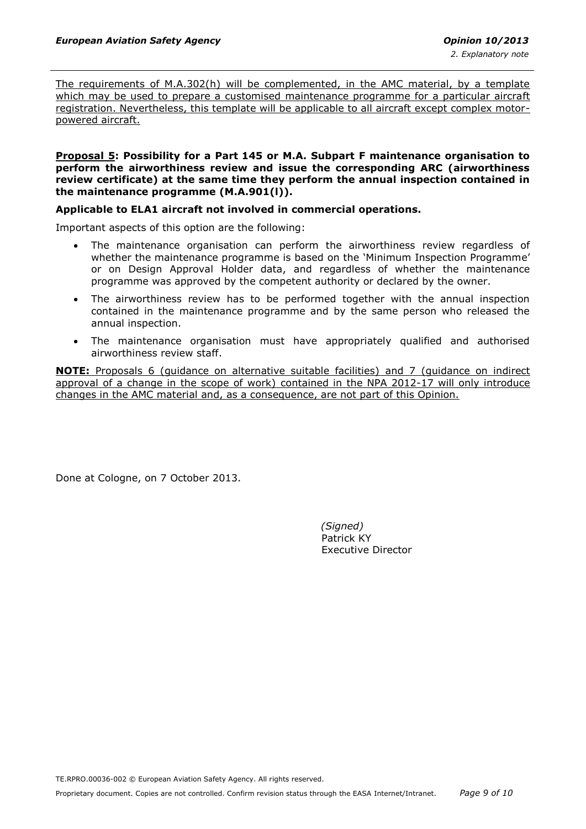The requirements of M.A.302(h) will be complemented, in the AMC material, by a template which may be used to prepare a customised maintenance programme for a particular aircraft registration. Nevertheless, this template will be applicable to all aircraft except complex motorpowered aircraft.

#### **Proposal 5: Possibility for a Part 145 or M.A. Subpart F maintenance organisation to perform the airworthiness review and issue the corresponding ARC (airworthiness review certificate) at the same time they perform the annual inspection contained in the maintenance programme (M.A.901(l)).**

#### **Applicable to ELA1 aircraft not involved in commercial operations.**

Important aspects of this option are the following:

- The maintenance organisation can perform the airworthiness review regardless of whether the maintenance programme is based on the 'Minimum Inspection Programme' or on Design Approval Holder data, and regardless of whether the maintenance programme was approved by the competent authority or declared by the owner.
- The airworthiness review has to be performed together with the annual inspection contained in the maintenance programme and by the same person who released the annual inspection.
- The maintenance organisation must have appropriately qualified and authorised airworthiness review staff.

**NOTE:** Proposals 6 (guidance on alternative suitable facilities) and 7 (guidance on indirect approval of a change in the scope of work) contained in the NPA 2012-17 will only introduce changes in the AMC material and, as a consequence, are not part of this Opinion.

Done at Cologne, on 7 October 2013.

*(Signed)* Patrick KY Executive Director